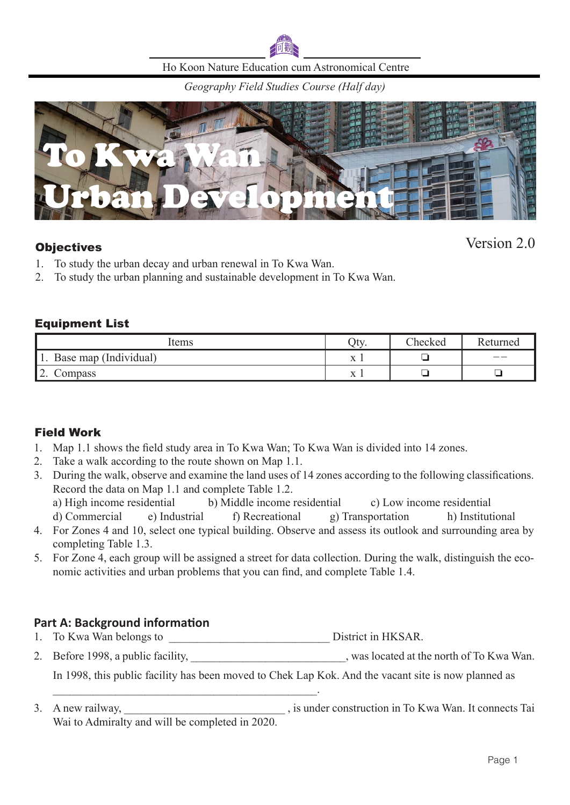

Ho Koon Nature Education cum Astronomical Centre

*Geography Field Studies Course (Half day)*



## **Objectives**

Version 2.0

- 1. To study the urban decay and urban renewal in To Kwa Wan.
- 2. To study the urban planning and sustainable development in To Kwa Wan.

### Equipment List

| ltems                      | Oty.                     | Checked | Returned |
|----------------------------|--------------------------|---------|----------|
| Base map (Individual)      | <b>W</b><br>$\sqrt{7}$ T | _       | ——       |
| ר ו<br>Compass<br><u>.</u> | <b>W</b><br>$\Lambda$ 1  | -       |          |

### Field Work

- 1. Map 1.1 shows the field study area in To Kwa Wan; To Kwa Wan is divided into 14 zones.
- 2. Take a walk according to the route shown on Map 1.1.
- 3. During the walk, observe and examine the land uses of 14 zones according to the following classifications. Record the data on Map 1.1 and complete Table 1.2.
	- a) High income residential b) Middle income residential c) Low income residential

d) Commercial e) Industrial f) Recreational g) Transportation h) Institutional

- 4. For Zones 4 and 10, select one typical building. Observe and assess its outlook and surrounding area by completing Table 1.3.
- 5. For Zone 4, each group will be assigned a street for data collection. During the walk, distinguish the economic activities and urban problems that you can find, and complete Table 1.4.

### **Part A: Background information**

1. To Kwa Wan belongs to \_\_\_\_\_\_\_\_\_\_\_\_\_\_\_\_\_\_\_\_\_\_\_\_\_\_\_\_ District in HKSAR.

 $\mathcal{L}_\mathcal{L}$  , and the set of the set of the set of the set of the set of the set of the set of the set of the set of the set of the set of the set of the set of the set of the set of the set of the set of the set of th

2. Before 1998, a public facility, \_\_\_\_\_\_\_\_\_\_\_\_\_\_\_\_\_\_\_\_\_\_\_\_\_, was located at the north of To Kwa Wan.

In 1998, this public facility has been moved to Chek Lap Kok. And the vacant site is now planned as

3. A new railway,  $\overline{\phantom{a}}$  and  $\overline{\phantom{a}}$  is under construction in To Kwa Wan. It connects Tai Wai to Admiralty and will be completed in 2020.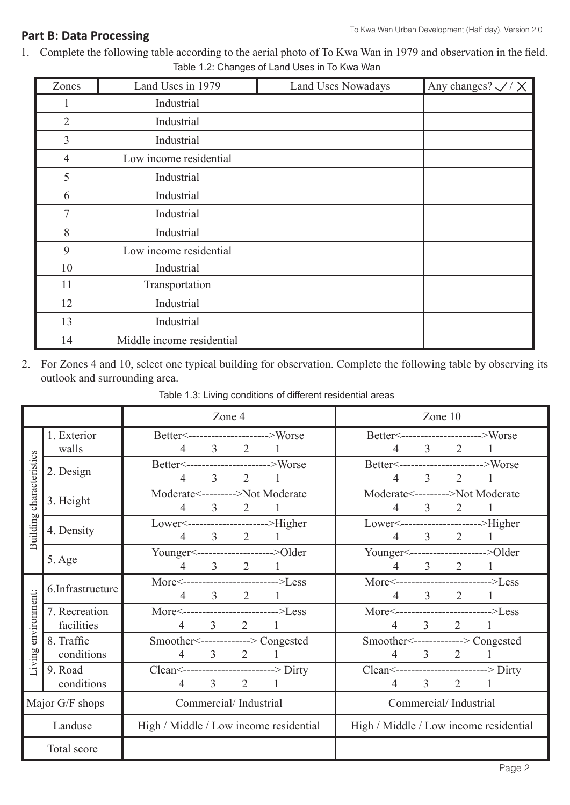#### **Part B: Data Processing**

Total score

1. Complete the following table according to the aerial photo of To Kwa Wan in 1979 and observation in the field. Table 1.2: Changes of Land Uses in To Kwa Wan

| Zones                           | Land Uses in 1979      | <b>Land Uses Nowadays</b> | Any changes? $\swarrow$ / $\times$ |
|---------------------------------|------------------------|---------------------------|------------------------------------|
|                                 | Industrial             |                           |                                    |
| $\overline{2}$                  | Industrial             |                           |                                    |
| 3                               | Industrial             |                           |                                    |
| $\overline{4}$                  | Low income residential |                           |                                    |
| 5                               | Industrial             |                           |                                    |
| 6                               | Industrial             |                           |                                    |
| 7                               | Industrial             |                           |                                    |
| 8                               | Industrial             |                           |                                    |
| 9<br>Low income residential     |                        |                           |                                    |
| 10                              | Industrial             |                           |                                    |
| 11                              | Transportation         |                           |                                    |
| 12                              | Industrial             |                           |                                    |
| 13                              | Industrial             |                           |                                    |
| 14<br>Middle income residential |                        |                           |                                    |

2. For Zones 4 and 10, select one typical building for observation. Complete the following table by observing its outlook and surrounding area.

|                          |                             | Zone 4                                                                  |                |                                                        | Zone 10        |                       |         |  |
|--------------------------|-----------------------------|-------------------------------------------------------------------------|----------------|--------------------------------------------------------|----------------|-----------------------|---------|--|
|                          | 1. Exterior<br>walls        | Better<--------------------->Worse<br>$4 \quad 3 \quad 2$               |                | Better<---------------------->Worse                    |                | $4 \quad 3 \quad 2$   |         |  |
| Building characteristics | 2. Design                   | Better<----------------------->Worse<br>$\overline{3}$<br>4             | $\overline{2}$ | Better<----------------------->Worse                   | 3 <sup>7</sup> | $\overline{2}$        |         |  |
|                          | 3. Height                   | Moderate<--------->Not Moderate<br>$\overline{3}$<br>4                  | 2 1            | Moderate<--------->Not Moderate<br>4                   | $\overline{3}$ |                       | 2 1     |  |
|                          | 4. Density                  | Lower<--------------------->Higher<br>$4 \t 3 \t 2 \t 1$                |                | Lower<---------------------->Higher                    |                | $4 \quad 3 \quad 2$   |         |  |
|                          | 5. Age                      | Younger <--------------------->Older<br>$4 \t 3 \t 2 \t 1$              |                | Younger <--------------------->Older                   |                | $4 \t 3 \t 2 \t 1$    |         |  |
| Living environment:      | 6.Infrastructure            | More<-------------------------->Less<br>$\overline{3}$<br>4             | $2 \quad 1$    | More<-------------------------->Less                   | $\mathfrak{Z}$ | $2 \quad 1$           |         |  |
|                          | 7. Recreation<br>facilities | More<-------------------------->Less<br>$3 \t 2 \t 1$<br>$\overline{4}$ |                | More<-------------------------->Less<br>$\overline{4}$ |                | $3\qquad 2$           | $\perp$ |  |
|                          | 8. Traffic<br>conditions    | Smoother<-------------> Congested<br>$4 \quad 3 \quad 2 \quad 1$        |                | Smoother<-------------> Congested                      |                | $4 \quad 3 \quad 2$   |         |  |
|                          | 9. Road<br>conditions       | Clean <-------------------------> Dirty<br>3<br>2<br>$\overline{4}$     |                | Clean <--------------------------> Dirty<br>4          | $\mathfrak{Z}$ | $\overline{2}$        |         |  |
|                          | Major G/F shops             | Commercial/Industrial                                                   |                |                                                        |                | Commercial/Industrial |         |  |
|                          | Landuse                     | High / Middle / Low income residential                                  |                | High / Middle / Low income residential                 |                |                       |         |  |
|                          |                             |                                                                         |                |                                                        |                |                       |         |  |

Table 1.3: Living conditions of different residential areas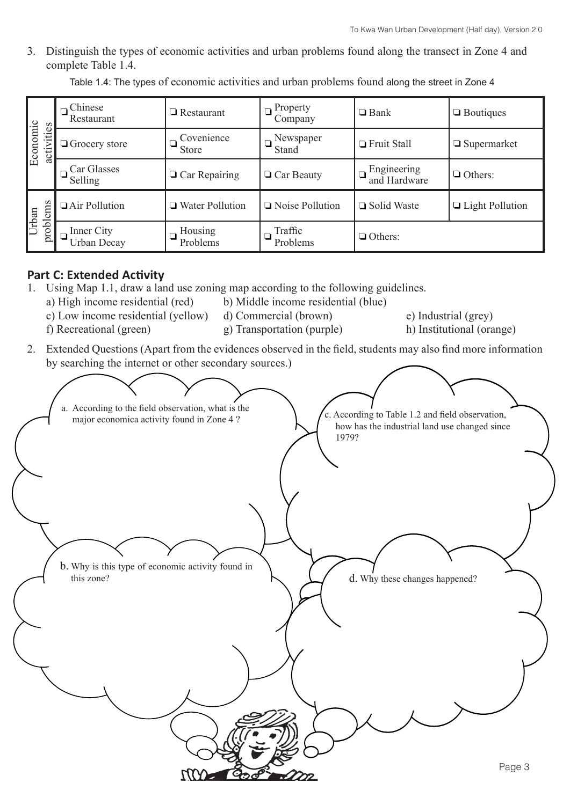3. Distinguish the types of economic activities and urban problems found along the transect in Zone 4 and complete Table 1.4.

Table 1.4: The types of economic activities and urban problems found along the street in Zone 4

| $E$ conomic<br>activities | Chinese<br>Restaurant            | $\Box$ Restaurant          | Property<br>Company | $\Box$ Bank                 | $\Box$ Boutiques       |
|---------------------------|----------------------------------|----------------------------|---------------------|-----------------------------|------------------------|
|                           | $\Box$ Grocery store             | Covenience<br><b>Store</b> | Newspaper<br>Stand  | Fruit Stall                 | $\Box$ Supermarket     |
|                           | Car Glasses<br>Selling           | $\Box$ Car Repairing       | $\Box$ Car Beauty   | Engineering<br>and Hardware | $\Box$ Others:         |
| problems<br>Urban         | Air Pollution                    | □ Water Pollution          | Noise Pollution     | □ Solid Waste               | $\Box$ Light Pollution |
|                           | Inner City<br><b>Urban Decay</b> | Housing<br>Problems        | Traffic<br>Problems | $\Box$ Others:              |                        |

# **Part C: Extended Activity**

- 1. Using Map 1.1, draw a land use zoning map according to the following guidelines.
	- a) High income residential (red) b) Middle income residential (blue)
	- c) Low income residential (yellow) d) Commercial (brown) e) Industrial (grey)
	- f) Recreational (green) g) Transportation (purple) h) Institutional (orange)
		-

- 
- 

2. Extended Questions (Apart from the evidences observed in the field, students may also find more information by searching the internet or other secondary sources.)